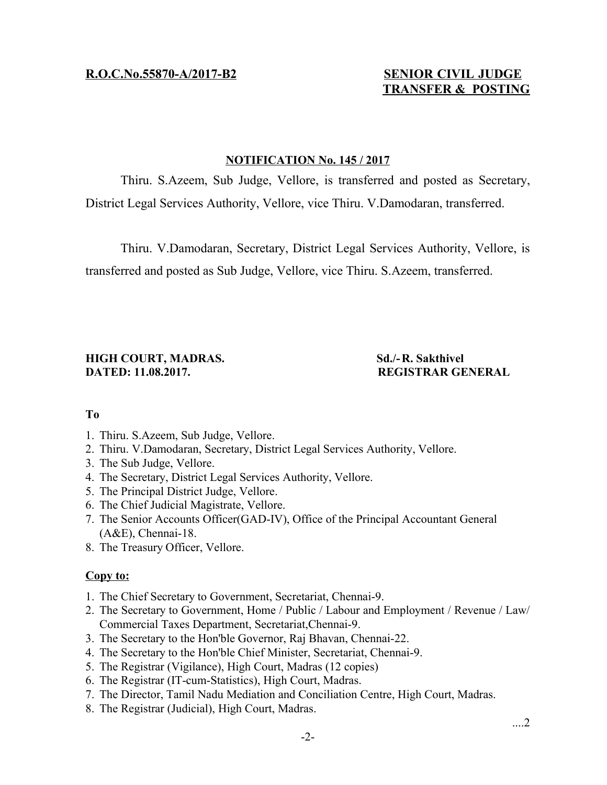# **TRANSFER & POSTING**

# **NOTIFICATION No. 145 / 2017**

Thiru. S.Azeem, Sub Judge, Vellore, is transferred and posted as Secretary, District Legal Services Authority, Vellore, vice Thiru. V.Damodaran, transferred.

Thiru. V.Damodaran, Secretary, District Legal Services Authority, Vellore, is transferred and posted as Sub Judge, Vellore, vice Thiru. S.Azeem, transferred.

# **HIGH COURT, MADRAS.** Sd./-R. Sakthivel **DATED: 11.08.2017. REGISTRAR GENERAL**

# **To**

- 1. Thiru. S.Azeem, Sub Judge, Vellore.
- 2. Thiru. V.Damodaran, Secretary, District Legal Services Authority, Vellore.
- 3. The Sub Judge, Vellore.
- 4. The Secretary, District Legal Services Authority, Vellore.
- 5. The Principal District Judge, Vellore.
- 6. The Chief Judicial Magistrate, Vellore.
- 7. The Senior Accounts Officer(GAD-IV), Office of the Principal Accountant General (A&E), Chennai-18.
- 8. The Treasury Officer, Vellore.

# **Copy to:**

- 1. The Chief Secretary to Government, Secretariat, Chennai-9.
- 2. The Secretary to Government, Home / Public / Labour and Employment / Revenue / Law/ Commercial Taxes Department, Secretariat,Chennai-9.
- 3. The Secretary to the Hon'ble Governor, Raj Bhavan, Chennai-22.
- 4. The Secretary to the Hon'ble Chief Minister, Secretariat, Chennai-9.
- 5. The Registrar (Vigilance), High Court, Madras (12 copies)
- 6. The Registrar (IT-cum-Statistics), High Court, Madras.
- 7. The Director, Tamil Nadu Mediation and Conciliation Centre, High Court, Madras.
- 8. The Registrar (Judicial), High Court, Madras.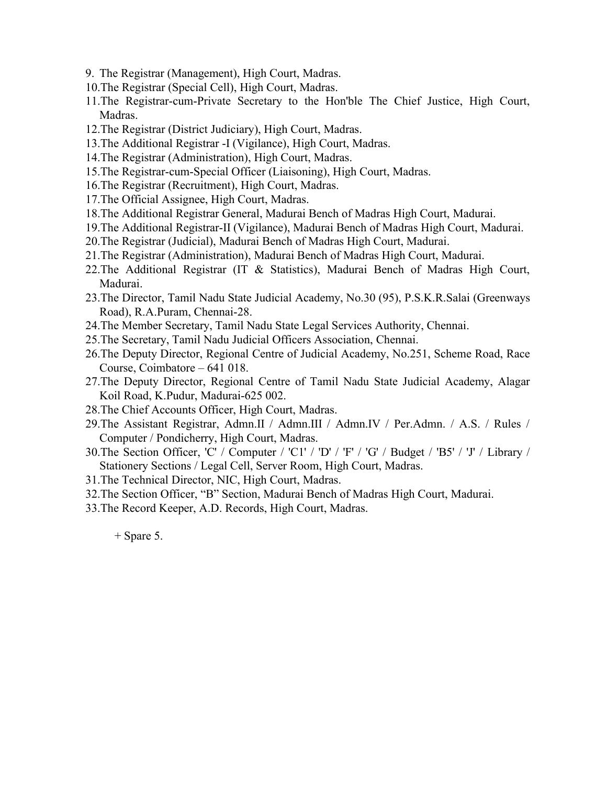- 9. The Registrar (Management), High Court, Madras.
- 10.The Registrar (Special Cell), High Court, Madras.
- 11.The Registrar-cum-Private Secretary to the Hon'ble The Chief Justice, High Court, Madras.
- 12.The Registrar (District Judiciary), High Court, Madras.
- 13.The Additional Registrar -I (Vigilance), High Court, Madras.
- 14.The Registrar (Administration), High Court, Madras.
- 15.The Registrar-cum-Special Officer (Liaisoning), High Court, Madras.
- 16.The Registrar (Recruitment), High Court, Madras.
- 17.The Official Assignee, High Court, Madras.
- 18.The Additional Registrar General, Madurai Bench of Madras High Court, Madurai.
- 19.The Additional Registrar-II (Vigilance), Madurai Bench of Madras High Court, Madurai.
- 20.The Registrar (Judicial), Madurai Bench of Madras High Court, Madurai.
- 21.The Registrar (Administration), Madurai Bench of Madras High Court, Madurai.
- 22.The Additional Registrar (IT & Statistics), Madurai Bench of Madras High Court, Madurai.
- 23.The Director, Tamil Nadu State Judicial Academy, No.30 (95), P.S.K.R.Salai (Greenways Road), R.A.Puram, Chennai-28.
- 24.The Member Secretary, Tamil Nadu State Legal Services Authority, Chennai.
- 25.The Secretary, Tamil Nadu Judicial Officers Association, Chennai.
- 26.The Deputy Director, Regional Centre of Judicial Academy, No.251, Scheme Road, Race Course, Coimbatore – 641 018.
- 27.The Deputy Director, Regional Centre of Tamil Nadu State Judicial Academy, Alagar Koil Road, K.Pudur, Madurai-625 002.
- 28.The Chief Accounts Officer, High Court, Madras.
- 29.The Assistant Registrar, Admn.II / Admn.III / Admn.IV / Per.Admn. / A.S. / Rules / Computer / Pondicherry, High Court, Madras.
- 30.The Section Officer, 'C' / Computer / 'C1' / 'D' / 'F' / 'G' / Budget / 'B5' / 'J' / Library / Stationery Sections / Legal Cell, Server Room, High Court, Madras.
- 31.The Technical Director, NIC, High Court, Madras.
- 32.The Section Officer, "B" Section, Madurai Bench of Madras High Court, Madurai.
- 33.The Record Keeper, A.D. Records, High Court, Madras.

 $+$  Spare 5.